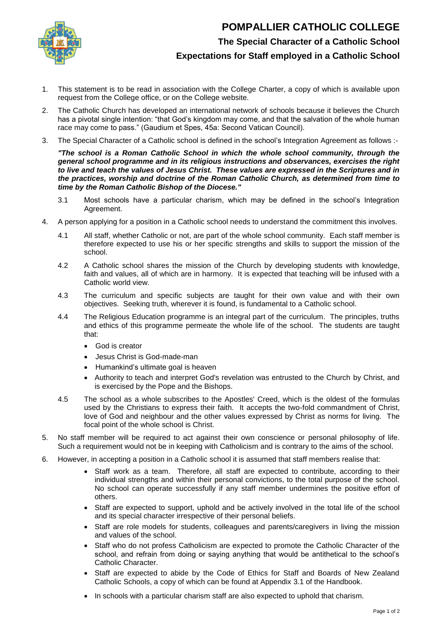

**POMPALLIER CATHOLIC COLLEGE**

## **The Special Character of a Catholic School**

**Expectations for Staff employed in a Catholic School**

- 1. This statement is to be read in association with the College Charter, a copy of which is available upon request from the College office, or on the College website.
- 2. The Catholic Church has developed an international network of schools because it believes the Church has a pivotal single intention: "that God's kingdom may come, and that the salvation of the whole human race may come to pass." (Gaudium et Spes, 45a: Second Vatican Council).
- 3. The Special Character of a Catholic school is defined in the school's Integration Agreement as follows :-

*"The school is a Roman Catholic School in which the whole school community, through the general school programme and in its religious instructions and observances, exercises the right to live and teach the values of Jesus Christ. These values are expressed in the Scriptures and in the practices, worship and doctrine of the Roman Catholic Church, as determined from time to time by the Roman Catholic Bishop of the Diocese."*

- 3.1 Most schools have a particular charism, which may be defined in the school's Integration Agreement.
- 4. A person applying for a position in a Catholic school needs to understand the commitment this involves.
	- 4.1 All staff, whether Catholic or not, are part of the whole school community. Each staff member is therefore expected to use his or her specific strengths and skills to support the mission of the school.
	- 4.2 A Catholic school shares the mission of the Church by developing students with knowledge, faith and values, all of which are in harmony. It is expected that teaching will be infused with a Catholic world view.
	- 4.3 The curriculum and specific subjects are taught for their own value and with their own objectives. Seeking truth, wherever it is found, is fundamental to a Catholic school.
	- 4.4 The Religious Education programme is an integral part of the curriculum. The principles, truths and ethics of this programme permeate the whole life of the school. The students are taught that:
		- God is creator
		- Jesus Christ is God-made-man
		- Humankind's ultimate goal is heaven
		- Authority to teach and interpret God's revelation was entrusted to the Church by Christ, and is exercised by the Pope and the Bishops.
	- 4.5 The school as a whole subscribes to the Apostles' Creed, which is the oldest of the formulas used by the Christians to express their faith. It accepts the two-fold commandment of Christ, love of God and neighbour and the other values expressed by Christ as norms for living. The focal point of the whole school is Christ.
- 5. No staff member will be required to act against their own conscience or personal philosophy of life. Such a requirement would not be in keeping with Catholicism and is contrary to the aims of the school.
- 6. However, in accepting a position in a Catholic school it is assumed that staff members realise that:
	- Staff work as a team. Therefore, all staff are expected to contribute, according to their individual strengths and within their personal convictions, to the total purpose of the school. No school can operate successfully if any staff member undermines the positive effort of others.
	- Staff are expected to support, uphold and be actively involved in the total life of the school and its special character irrespective of their personal beliefs.
	- Staff are role models for students, colleagues and parents/caregivers in living the mission and values of the school.
	- Staff who do not profess Catholicism are expected to promote the Catholic Character of the school, and refrain from doing or saying anything that would be antithetical to the school's Catholic Character.
	- Staff are expected to abide by the Code of Ethics for Staff and Boards of New Zealand Catholic Schools, a copy of which can be found at Appendix 3.1 of the Handbook.
	- In schools with a particular charism staff are also expected to uphold that charism.